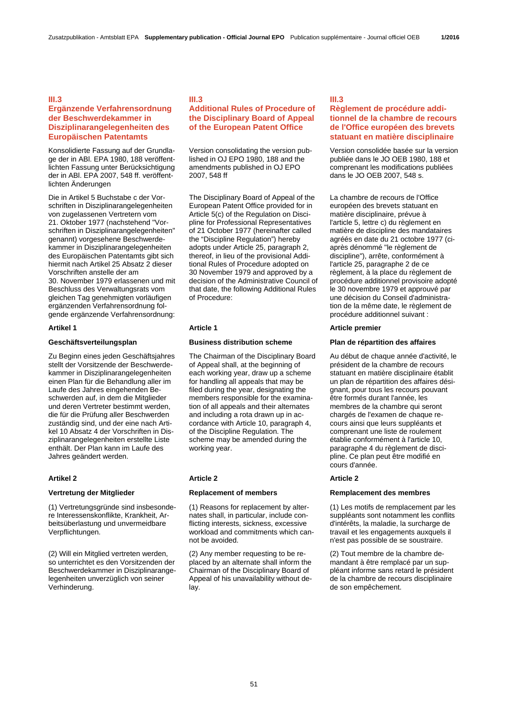### **III.3**

# **Ergänzende Verfahrensordnung der Beschwerdekammer in Disziplinarangelegenheiten des Europäischen Patentamts**

Konsolidierte Fassung auf der Grundlage der in ABl. EPA 1980, 188 veröffentlichten Fassung unter Berücksichtigung der in ABl. EPA 2007, 548 ff. veröffentlichten Änderungen

Die in Artikel 5 Buchstabe c der Vorschriften in Disziplinarangelegenheiten von zugelassenen Vertretern vom 21. Oktober 1977 (nachstehend "Vorschriften in Disziplinarangelegenheiten" genannt) vorgesehene Beschwerdekammer in Disziplinarangelegenheiten des Europäischen Patentamts gibt sich hiermit nach Artikel 25 Absatz 2 dieser Vorschriften anstelle der am 30. November 1979 erlassenen und mit Beschluss des Verwaltungsrats vom gleichen Tag genehmigten vorläufigen ergänzenden Verfahrensordnung folgende ergänzende Verfahrensordnung:

Zu Beginn eines jeden Geschäftsjahres stellt der Vorsitzende der Beschwerdekammer in Disziplinarangelegenheiten einen Plan für die Behandlung aller im Laufe des Jahres eingehenden Beschwerden auf, in dem die Mitglieder und deren Vertreter bestimmt werden, die für die Prüfung aller Beschwerden zuständig sind, und der eine nach Artikel 10 Absatz 4 der Vorschriften in Disziplinarangelegenheiten erstellte Liste enthält. Der Plan kann im Laufe des Jahres geändert werden.

(1) Vertretungsgründe sind insbesondere Interessenskonflikte, Krankheit, Arbeitsüberlastung und unvermeidbare Verpflichtungen.

(2) Will ein Mitglied vertreten werden, so unterrichtet es den Vorsitzenden der Beschwerdekammer in Disziplinarangelegenheiten unverzüglich von seiner Verhinderung.

# **III.3**

# **Additional Rules of Procedure of the Disciplinary Board of Appeal of the European Patent Office**

 Version consolidating the version published in OJ EPO 1980, 188 and the amendments published in OJ EPO 2007, 548 ff

 The Disciplinary Board of Appeal of the European Patent Office provided for in Article 5(c) of the Regulation on Discipline for Professional Representatives of 21 October 1977 (hereinafter called the "Discipline Regulation") hereby adopts under Article 25, paragraph 2, thereof, in lieu of the provisional Additional Rules of Procedure adopted on 30 November 1979 and approved by a decision of the Administrative Council of that date, the following Additional Rules of Procedure:

 The Chairman of the Disciplinary Board of Appeal shall, at the beginning of each working year, draw up a scheme for handling all appeals that may be filed during the year, designating the members responsible for the examination of all appeals and their alternates and including a rota drawn up in accordance with Article 10, paragraph 4, of the Discipline Regulation. The scheme may be amended during the working year.

### **Artikel 2 Article 2 Article 2**

 (1) Reasons for replacement by alternates shall, in particular, include conflicting interests, sickness, excessive workload and commitments which cannot be avoided.

 (2) Any member requesting to be replaced by an alternate shall inform the Chairman of the Disciplinary Board of Appeal of his unavailability without delay.

### **III.3**

# **Règlement de procédure additionnel de la chambre de recours de l'Office européen des brevets statuant en matière disciplinaire**

 Version consolidée basée sur la version publiée dans le JO OEB 1980, 188 et comprenant les modifications publiées dans le JO OEB 2007, 548 s.

 La chambre de recours de l'Office européen des brevets statuant en matière disciplinaire, prévue à l'article 5, lettre c) du règlement en matière de discipline des mandataires agréés en date du 21 octobre 1977 (ciaprès dénommé "le règlement de discipline"), arrête, conformément à l'article 25, paragraphe 2 de ce règlement, à la place du règlement de procédure additionnel provisoire adopté le 30 novembre 1979 et approuvé par une décision du Conseil d'administration de la même date, le règlement de procédure additionnel suivant :

# **Artikel 1 Article 1 Article premier**

# **Geschäftsverteilungsplan Business distribution scheme Plan de répartition des affaires**

Au début de chaque année d'activité, le président de la chambre de recours statuant en matière disciplinaire établit un plan de répartition des affaires désignant, pour tous les recours pouvant être formés durant l'année, les membres de la chambre qui seront chargés de l'examen de chaque recours ainsi que leurs suppléants et comprenant une liste de roulement établie conformément à l'article 10, paragraphe 4 du règlement de discipline. Ce plan peut être modifié en cours d'année.

### **Vertretung der Mitglieder Replacement of members Remplacement des membres**

 (1) Les motifs de remplacement par les suppléants sont notamment les conflits d'intérêts, la maladie, la surcharge de travail et les engagements auxquels il n'est pas possible de se soustraire.

 (2) Tout membre de la chambre demandant à être remplacé par un suppléant informe sans retard le président de la chambre de recours disciplinaire de son empêchement.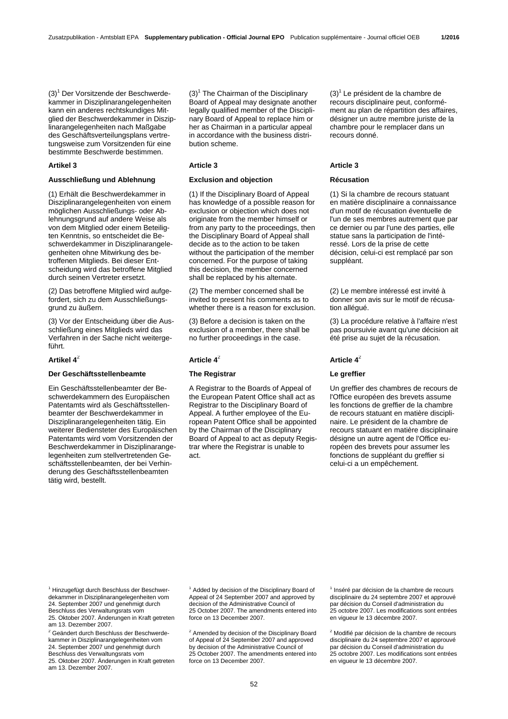(3)<sup>1</sup> Der Vorsitzende der Beschwerdekammer in Disziplinarangelegenheiten kann ein anderes rechtskundiges Mitglied der Beschwerdekammer in Disziplinarangelegenheiten nach Maßgabe des Geschäftsverteilungsplans vertretungsweise zum Vorsitzenden für eine bestimmte Beschwerde bestimmen.

### **Artikel 3 Article 3 Article 3**

# **Ausschließung und Ablehnung Exclusion and objection Récusation**

(1) Erhält die Beschwerdekammer in Disziplinarangelegenheiten von einem möglichen Ausschließungs- oder Ablehnungsgrund auf andere Weise als von dem Mitglied oder einem Beteiligten Kenntnis, so entscheidet die Beschwerdekammer in Disziplinarangelegenheiten ohne Mitwirkung des betroffenen Mitglieds. Bei dieser Entscheidung wird das betroffene Mitglied durch seinen Vertreter ersetzt.

(2) Das betroffene Mitglied wird aufgefordert, sich zu dem Ausschließungsgrund zu äußern.

(3) Vor der Entscheidung über die Ausschließung eines Mitglieds wird das Verfahren in der Sache nicht weitergeführt.

# **Der Geschäftsstellenbeamte The Registrar Le greffier**

Ein Geschäftsstellenbeamter der Beschwerdekammern des Europäischen Patentamts wird als Geschäftsstellenbeamter der Beschwerdekammer in Disziplinarangelegenheiten tätig. Ein weiterer Bediensteter des Europäischen Patentamts wird vom Vorsitzenden der Beschwerdekammer in Disziplinarangelegenheiten zum stellvertretenden Geschäftsstellenbeamten, der bei Verhinderung des Geschäftsstellenbeamten tätig wird, bestellt.

 $(3)^{1}$  The Chairman of the Disciplinary Board of Appeal may designate another legally qualified member of the Disciplinary Board of Appeal to replace him or her as Chairman in a particular appeal in accordance with the business distribution scheme.

 (1) If the Disciplinary Board of Appeal has knowledge of a possible reason for exclusion or objection which does not originate from the member himself or from any party to the proceedings, then the Disciplinary Board of Appeal shall decide as to the action to be taken without the participation of the member concerned. For the purpose of taking this decision, the member concerned shall be replaced by his alternate.

 (2) The member concerned shall be invited to present his comments as to whether there is a reason for exclusion.

 (3) Before a decision is taken on the exclusion of a member, there shall be no further proceedings in the case.

# **Artikel 4**<sup>2</sup> **Article 4**<sup>2</sup> **Article 4**<sup>2</sup>

A Registrar to the Boards of Appeal of the European Patent Office shall act as Registrar to the Disciplinary Board of Appeal. A further employee of the European Patent Office shall be appointed by the Chairman of the Disciplinary Board of Appeal to act as deputy Registrar where the Registrar is unable to act.

 $(3)^{1}$  Le président de la chambre de recours disciplinaire peut, conformément au plan de répartition des affaires, désigner un autre membre juriste de la chambre pour le remplacer dans un recours donné.

 (1) Si la chambre de recours statuant en matière disciplinaire a connaissance d'un motif de récusation éventuelle de l'un de ses membres autrement que par ce dernier ou par l'une des parties, elle statue sans la participation de l'intéressé. Lors de la prise de cette décision, celui-ci est remplacé par son suppléant.

 (2) Le membre intéressé est invité à donner son avis sur le motif de récusation allégué.

 (3) La procédure relative à l'affaire n'est pas poursuivie avant qu'une décision ait été prise au sujet de la récusation.

 Un greffier des chambres de recours de l'Office européen des brevets assume les fonctions de greffier de la chambre de recours statuant en matière disciplinaire. Le président de la chambre de recours statuant en matière disciplinaire désigne un autre agent de l'Office européen des brevets pour assumer les fonctions de suppléant du greffier si celui-ci a un empêchement.

<sup>1</sup> Hinzugefügt durch Beschluss der Beschwerdekammer in Disziplinarangelegenheiten vom 24. September 2007 und genehmigt durch Beschluss des Verwaltungsrats vom 25. Oktober 2007. Änderungen in Kraft getreten am 13. Dezember 2007.

<sup>2</sup> Geändert durch Beschluss der Beschwerdekammer in Disziplinarangelegenheiten vom 24. September 2007 und genehmigt durch Beschluss des Verwaltungsrats vom 25. Oktober 2007. Änderungen in Kraft getreten am 13. Dezember 2007.

<sup>1</sup> Added by decision of the Disciplinary Board of Appeal of 24 September 2007 and approved by decision of the Administrative Council of 25 October 2007. The amendments entered into force on 13 December 2007.

<sup>2</sup> Amended by decision of the Disciplinary Board of Appeal of 24 September 2007 and approved by decision of the Administrative Council of 25 October 2007. The amendments entered into force on 13 December 2007.

1 Inséré par décision de la chambre de recours disciplinaire du 24 septembre 2007 et approuvé par décision du Conseil d'administration du 25 octobre 2007. Les modifications sont entrées en vigueur le 13 décembre 2007.

<sup>2</sup> Modifié par décision de la chambre de recours disciplinaire du 24 septembre 2007 et approuvé par décision du Conseil d'administration du 25 octobre 2007. Les modifications sont entrées en vigueur le 13 décembre 2007.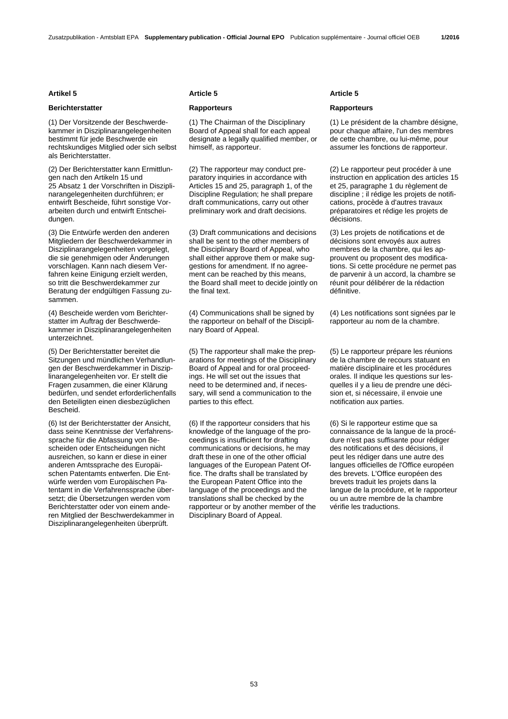# **Berichterstatter Rapporteurs Rapporteurs**

(1) Der Vorsitzende der Beschwerdekammer in Disziplinarangelegenheiten bestimmt für jede Beschwerde ein rechtskundiges Mitglied oder sich selbst als Berichterstatter.

(2) Der Berichterstatter kann Ermittlungen nach den Artikeln 15 und 25 Absatz 1 der Vorschriften in Disziplinarangelegenheiten durchführen; er entwirft Bescheide, führt sonstige Vorarbeiten durch und entwirft Entscheidungen.

(3) Die Entwürfe werden den anderen Mitgliedern der Beschwerdekammer in Disziplinarangelegenheiten vorgelegt, die sie genehmigen oder Änderungen vorschlagen. Kann nach diesem Verfahren keine Einigung erzielt werden, so tritt die Beschwerdekammer zur Beratung der endgültigen Fassung zusammen.

(4) Bescheide werden vom Berichterstatter im Auftrag der Beschwerdekammer in Disziplinarangelegenheiten unterzeichnet.

(5) Der Berichterstatter bereitet die Sitzungen und mündlichen Verhandlungen der Beschwerdekammer in Disziplinarangelegenheiten vor. Er stellt die Fragen zusammen, die einer Klärung bedürfen, und sendet erforderlichenfalls den Beteiligten einen diesbezüglichen Bescheid.

(6) Ist der Berichterstatter der Ansicht, dass seine Kenntnisse der Verfahrenssprache für die Abfassung von Bescheiden oder Entscheidungen nicht ausreichen, so kann er diese in einer anderen Amtssprache des Europäischen Patentamts entwerfen. Die Entwürfe werden vom Europäischen Patentamt in die Verfahrenssprache übersetzt; die Übersetzungen werden vom Berichterstatter oder von einem anderen Mitglied der Beschwerdekammer in Disziplinarangelegenheiten überprüft.

### **Artikel 5 Article 5 Article 5**

 (1) The Chairman of the Disciplinary Board of Appeal shall for each appeal designate a legally qualified member, or himself, as rapporteur.

 (2) The rapporteur may conduct preparatory inquiries in accordance with Articles 15 and 25, paragraph 1, of the Discipline Regulation; he shall prepare draft communications, carry out other preliminary work and draft decisions.

 (3) Draft communications and decisions shall be sent to the other members of the Disciplinary Board of Appeal, who shall either approve them or make suggestions for amendment. If no agreement can be reached by this means, the Board shall meet to decide jointly on the final text.

 (4) Communications shall be signed by the rapporteur on behalf of the Disciplinary Board of Appeal.

 (5) The rapporteur shall make the preparations for meetings of the Disciplinary Board of Appeal and for oral proceedings. He will set out the issues that need to be determined and, if necessary, will send a communication to the parties to this effect.

 (6) If the rapporteur considers that his knowledge of the language of the proceedings is insufficient for drafting communications or decisions, he may draft these in one of the other official languages of the European Patent Office. The drafts shall be translated by the European Patent Office into the language of the proceedings and the translations shall be checked by the rapporteur or by another member of the Disciplinary Board of Appeal.

 (1) Le président de la chambre désigne, pour chaque affaire, l'un des membres de cette chambre, ou lui-même, pour assumer les fonctions de rapporteur.

 (2) Le rapporteur peut procéder à une instruction en application des articles 15 et 25, paragraphe 1 du règlement de discipline ; il rédige les projets de notifications, procède à d'autres travaux préparatoires et rédige les projets de décisions.

 (3) Les projets de notifications et de décisions sont envoyés aux autres membres de la chambre, qui les approuvent ou proposent des modifications. Si cette procédure ne permet pas de parvenir à un accord, la chambre se réunit pour délibérer de la rédaction définitive.

 (4) Les notifications sont signées par le rapporteur au nom de la chambre.

 (5) Le rapporteur prépare les réunions de la chambre de recours statuant en matière disciplinaire et les procédures orales. Il indique les questions sur lesquelles il y a lieu de prendre une décision et, si nécessaire, il envoie une notification aux parties.

 (6) Si le rapporteur estime que sa connaissance de la langue de la procédure n'est pas suffisante pour rédiger des notifications et des décisions, il peut les rédiger dans une autre des langues officielles de l'Office européen des brevets. L'Office européen des brevets traduit les projets dans la langue de la procédure, et le rapporteur ou un autre membre de la chambre vérifie les traductions.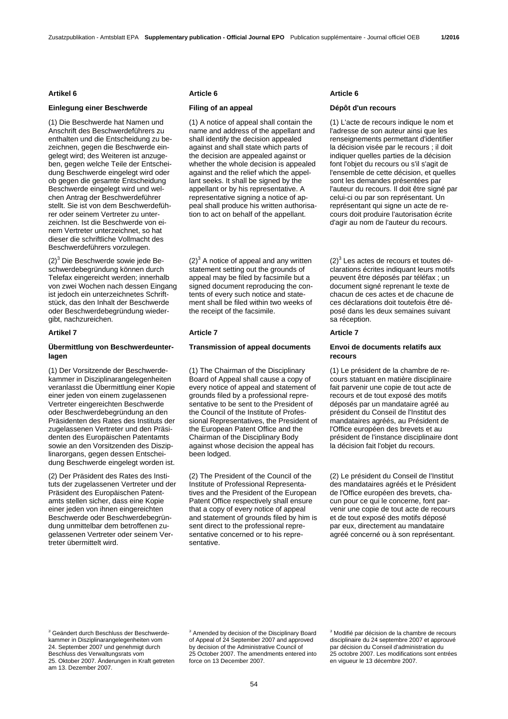# **Einlegung einer Beschwerde Filing of an appeal Dépôt d'un recours**

(1) Die Beschwerde hat Namen und Anschrift des Beschwerdeführers zu enthalten und die Entscheidung zu bezeichnen, gegen die Beschwerde eingelegt wird; des Weiteren ist anzugeben, gegen welche Teile der Entscheidung Beschwerde eingelegt wird oder ob gegen die gesamte Entscheidung Beschwerde eingelegt wird und welchen Antrag der Beschwerdeführer stellt. Sie ist von dem Beschwerdeführer oder seinem Vertreter zu unterzeichnen. Ist die Beschwerde von einem Vertreter unterzeichnet, so hat dieser die schriftliche Vollmacht des Beschwerdeführers vorzulegen.

(2)<sup>3</sup> Die Beschwerde sowie jede Beschwerdebegründung können durch Telefax eingereicht werden; innerhalb von zwei Wochen nach dessen Eingang ist jedoch ein unterzeichnetes Schriftstück, das den Inhalt der Beschwerde oder Beschwerdebegründung wiedergibt, nachzureichen.

### **Artikel 7 Article 7 Article 7**

# **Übermittlung von Beschwerdeunterlagen**

(1) Der Vorsitzende der Beschwerdekammer in Disziplinarangelegenheiten veranlasst die Übermittlung einer Kopie einer jeden von einem zugelassenen Vertreter eingereichten Beschwerde oder Beschwerdebegründung an den Präsidenten des Rates des Instituts der zugelassenen Vertreter und den Präsidenten des Europäischen Patentamts sowie an den Vorsitzenden des Disziplinarorgans, gegen dessen Entscheidung Beschwerde eingelegt worden ist.

(2) Der Präsident des Rates des Instituts der zugelassenen Vertreter und der Präsident des Europäischen Patentamts stellen sicher, dass eine Kopie einer jeden von ihnen eingereichten Beschwerde oder Beschwerdebegründung unmittelbar dem betroffenen zugelassenen Vertreter oder seinem Vertreter übermittelt wird.

### **Artikel 6 Article 6 Article 6**

 (1) A notice of appeal shall contain the name and address of the appellant and shall identify the decision appealed against and shall state which parts of the decision are appealed against or whether the whole decision is appealed against and the relief which the appellant seeks. It shall be signed by the appellant or by his representative. A representative signing a notice of appeal shall produce his written authorisation to act on behalf of the appellant.

 $(2)^3$  A notice of appeal and any written statement setting out the grounds of appeal may be filed by facsimile but a signed document reproducing the contents of every such notice and statement shall be filed within two weeks of the receipt of the facsimile.

### **Transmission of appeal documents Envoi de documents relatifs aux**

 (1) The Chairman of the Disciplinary Board of Appeal shall cause a copy of every notice of appeal and statement of grounds filed by a professional representative to be sent to the President of the Council of the Institute of Professional Representatives, the President of the European Patent Office and the Chairman of the Disciplinary Body against whose decision the appeal has been lodged.

 (2) The President of the Council of the Institute of Professional Representatives and the President of the European Patent Office respectively shall ensure that a copy of every notice of appeal and statement of grounds filed by him is sent direct to the professional representative concerned or to his representative.

 (1) L'acte de recours indique le nom et l'adresse de son auteur ainsi que les renseignements permettant d'identifier la décision visée par le recours ; il doit indiquer quelles parties de la décision font l'objet du recours ou s'il s'agit de l'ensemble de cette décision, et quelles sont les demandes présentées par l'auteur du recours. Il doit être signé par celui-ci ou par son représentant. Un représentant qui signe un acte de recours doit produire l'autorisation écrite d'agir au nom de l'auteur du recours.

 $(2)^3$  Les actes de recours et toutes déclarations écrites indiquant leurs motifs peuvent être déposés par téléfax ; un document signé reprenant le texte de chacun de ces actes et de chacune de ces déclarations doit toutefois être déposé dans les deux semaines suivant sa réception.

# **recours**

 (1) Le président de la chambre de recours statuant en matière disciplinaire fait parvenir une copie de tout acte de recours et de tout exposé des motifs déposés par un mandataire agréé au président du Conseil de l'Institut des mandataires agréés, au Président de l'Office européen des brevets et au président de l'instance disciplinaire dont la décision fait l'objet du recours.

 (2) Le président du Conseil de l'Institut des mandataires agréés et le Président de l'Office européen des brevets, chacun pour ce qui le concerne, font parvenir une copie de tout acte de recours et de tout exposé des motifs déposé par eux, directement au mandataire agréé concerné ou à son représentant.

<sup>3</sup> Geändert durch Beschluss der Beschwerdekammer in Disziplinarangelegenheiten vom 24. September 2007 und genehmigt durch Beschluss des Verwaltungsrats vom 25. Oktober 2007. Änderungen in Kraft getreten am 13. Dezember 2007.

<sup>3</sup> Amended by decision of the Disciplinary Board of Appeal of 24 September 2007 and approved by decision of the Administrative Council of 25 October 2007. The amendments entered into force on 13 December 2007.

3 Modifié par décision de la chambre de recours disciplinaire du 24 septembre 2007 et approuvé par décision du Conseil d'administration du 25 octobre 2007. Les modifications sont entrées en vigueur le 13 décembre 2007.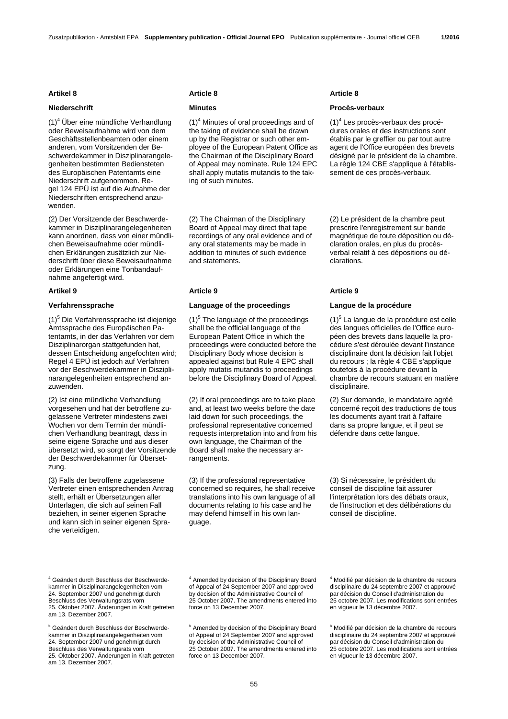(1)<sup>4</sup> Über eine mündliche Verhandlung oder Beweisaufnahme wird von dem Geschäftsstellenbeamten oder einem anderen, vom Vorsitzenden der Beschwerdekammer in Disziplinarangelegenheiten bestimmten Bediensteten des Europäischen Patentamts eine Niederschrift aufgenommen. Regel 124 EPÜ ist auf die Aufnahme der Niederschriften entsprechend anzuwenden.

(2) Der Vorsitzende der Beschwerdekammer in Disziplinarangelegenheiten kann anordnen, dass von einer mündlichen Beweisaufnahme oder mündlichen Erklärungen zusätzlich zur Niederschrift über diese Beweisaufnahme oder Erklärungen eine Tonbandaufnahme angefertigt wird.

(1)<sup>5</sup> Die Verfahrenssprache ist diejenige Amtssprache des Europäischen Patentamts, in der das Verfahren vor dem Disziplinarorgan stattgefunden hat, dessen Entscheidung angefochten wird; Regel 4 EPÜ ist jedoch auf Verfahren vor der Beschwerdekammer in Disziplinarangelegenheiten entsprechend anzuwenden.

(2) Ist eine mündliche Verhandlung vorgesehen und hat der betroffene zugelassene Vertreter mindestens zwei Wochen vor dem Termin der mündlichen Verhandlung beantragt, dass in seine eigene Sprache und aus dieser übersetzt wird, so sorgt der Vorsitzende der Beschwerdekammer für Übersetzung.

(3) Falls der betroffene zugelassene Vertreter einen entsprechenden Antrag stellt, erhält er Übersetzungen aller Unterlagen, die sich auf seinen Fall beziehen, in seiner eigenen Sprache und kann sich in seiner eigenen Sprache verteidigen.

### **Artikel 8 Article 8 Article 8**

 $(1)^4$  Minutes of oral proceedings and of the taking of evidence shall be drawn up by the Registrar or such other employee of the European Patent Office as the Chairman of the Disciplinary Board of Appeal may nominate. Rule 124 EPC shall apply mutatis mutandis to the taking of such minutes.

 (2) The Chairman of the Disciplinary Board of Appeal may direct that tape recordings of any oral evidence and of any oral statements may be made in addition to minutes of such evidence and statements.

### **Artikel 9 Article 9 Article 9**

# **Verfahrenssprache Language of the proceedings Langue de la procédure**

 $(1)^5$  The language of the proceedings shall be the official language of the European Patent Office in which the proceedings were conducted before the Disciplinary Body whose decision is appealed against but Rule 4 EPC shall apply mutatis mutandis to proceedings before the Disciplinary Board of Appeal.

 (2) If oral proceedings are to take place and, at least two weeks before the date laid down for such proceedings, the professional representative concerned requests interpretation into and from his own language, the Chairman of the Board shall make the necessary arrangements.

 (3) If the professional representative concerned so requires, he shall receive translations into his own language of all documents relating to his case and he may defend himself in his own language.

### **Niederschrift Minutes Minutes All Allen And Allen And Allen And Allen And Allen And Allen And Allen And Allen And Allen And Allen And Allen And Allen And Allen And Allen And Allen And Allen And Allen And Allen And Allen A**

(1)<sup>4</sup> Les procès-verbaux des procédures orales et des instructions sont établis par le greffier ou par tout autre agent de l'Office européen des brevets désigné par le président de la chambre. La règle 124 CBE s'applique à l'établissement de ces procès-verbaux.

 (2) Le président de la chambre peut prescrire l'enregistrement sur bande magnétique de toute déposition ou déclaration orales, en plus du procèsverbal relatif à ces dépositions ou déclarations.

(1)<sup>5</sup> La langue de la procédure est celle des langues officielles de l'Office européen des brevets dans laquelle la procédure s'est déroulée devant l'instance disciplinaire dont la décision fait l'objet du recours ; la règle 4 CBE s'applique toutefois à la procédure devant la chambre de recours statuant en matière disciplinaire.

 (2) Sur demande, le mandataire agréé concerné reçoit des traductions de tous les documents ayant trait à l'affaire dans sa propre langue, et il peut se défendre dans cette langue.

 (3) Si nécessaire, le président du conseil de discipline fait assurer l'interprétation lors des débats oraux, de l'instruction et des délibérations du conseil de discipline.

<sup>4</sup> Geändert durch Beschluss der Beschwerdekammer in Disziplinarangelegenheiten vom 24. September 2007 und genehmigt durch Beschluss des Verwaltungsrats vom 25. Oktober 2007. Änderungen in Kraft getreten am 13. Dezember 2007.

5 Geändert durch Beschluss der Beschwerdekammer in Disziplinarangelegenheiten vom 24. September 2007 und genehmigt durch Beschluss des Verwaltungsrats vom 25. Oktober 2007. Änderungen in Kraft getreten am 13. Dezember 2007.

4 Amended by decision of the Disciplinary Board of Appeal of 24 September 2007 and approved by decision of the Administrative Council of 25 October 2007. The amendments entered into force on 13 December 2007.

5 Amended by decision of the Disciplinary Board of Appeal of 24 September 2007 and approved by decision of the Administrative Council of 25 October 2007. The amendments entered into force on 13 December 2007.

4 Modifié par décision de la chambre de recours disciplinaire du 24 septembre 2007 et approuvé par décision du Conseil d'administration du 25 octobre 2007. Les modifications sont entrées en vigueur le 13 décembre 2007.

5 Modifié par décision de la chambre de recours disciplinaire du 24 septembre 2007 et approuvé par décision du Conseil d'administration du 25 octobre 2007. Les modifications sont entrées en vigueur le 13 décembre 2007.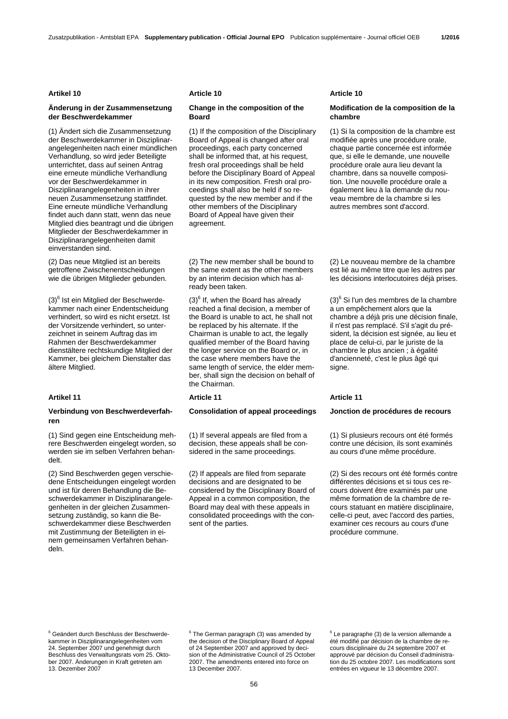# **Änderung in der Zusammensetzung der Beschwerdekammer**

(1) Ändert sich die Zusammensetzung der Beschwerdekammer in Disziplinarangelegenheiten nach einer mündlichen Verhandlung, so wird jeder Beteiligte unterrichtet, dass auf seinen Antrag eine erneute mündliche Verhandlung vor der Beschwerdekammer in Disziplinarangelegenheiten in ihrer neuen Zusammensetzung stattfindet. Eine erneute mündliche Verhandlung findet auch dann statt, wenn das neue Mitglied dies beantragt und die übrigen Mitglieder der Beschwerdekammer in Disziplinarangelegenheiten damit einverstanden sind.

(2) Das neue Mitglied ist an bereits getroffene Zwischenentscheidungen wie die übrigen Mitglieder gebunden.

(3)<sup>6</sup> Ist ein Mitglied der Beschwerdekammer nach einer Endentscheidung verhindert, so wird es nicht ersetzt. Ist der Vorsitzende verhindert, so unterzeichnet in seinem Auftrag das im Rahmen der Beschwerdekammer dienstältere rechtskundige Mitglied der Kammer, bei gleichem Dienstalter das ältere Mitglied.

### Artikel 11 **Article 11** Article 11 **Article 11** Article 11

### **Verbindung von Beschwerdeverfahren**

(1) Sind gegen eine Entscheidung mehrere Beschwerden eingelegt worden, so werden sie im selben Verfahren behandelt.

(2) Sind Beschwerden gegen verschiedene Entscheidungen eingelegt worden und ist für deren Behandlung die Beschwerdekammer in Disziplinarangelegenheiten in der gleichen Zusammensetzung zuständig, so kann die Beschwerdekammer diese Beschwerden mit Zustimmung der Beteiligten in einem gemeinsamen Verfahren behandeln.

# **Change in the composition of the Board**

 (1) If the composition of the Disciplinary Board of Appeal is changed after oral proceedings, each party concerned shall be informed that, at his request, fresh oral proceedings shall be held before the Disciplinary Board of Appeal in its new composition. Fresh oral proceedings shall also be held if so requested by the new member and if the other members of the Disciplinary Board of Appeal have given their agreement.

 (2) The new member shall be bound to the same extent as the other members by an interim decision which has already been taken.

 $(3)^6$  If, when the Board has already reached a final decision, a member of the Board is unable to act, he shall not be replaced by his alternate. If the Chairman is unable to act, the legally qualified member of the Board having the longer service on the Board or, in the case where members have the same length of service, the elder member, shall sign the decision on behalf of the Chairman.

### **Consolidation of appeal proceedings Jonction de procédures de recours**

 (1) If several appeals are filed from a decision, these appeals shall be considered in the same proceedings.

 (2) If appeals are filed from separate decisions and are designated to be considered by the Disciplinary Board of Appeal in a common composition, the Board may deal with these appeals in consolidated proceedings with the consent of the parties.

### **Artikel 10 Article 10 Article 10**

# **Modification de la composition de la chambre**

 (1) Si la composition de la chambre est modifiée après une procédure orale, chaque partie concernée est informée que, si elle le demande, une nouvelle procédure orale aura lieu devant la chambre, dans sa nouvelle composition. Une nouvelle procédure orale a également lieu à la demande du nouveau membre de la chambre si les autres membres sont d'accord.

 (2) Le nouveau membre de la chambre est lié au même titre que les autres par les décisions interlocutoires déjà prises.

 $(3)^6$  Si l'un des membres de la chambre a un empêchement alors que la chambre a déjà pris une décision finale, il n'est pas remplacé. S'il s'agit du président, la décision est signée, au lieu et place de celui-ci, par le juriste de la chambre le plus ancien ; à égalité d'ancienneté, c'est le plus âgé qui signe.

 (1) Si plusieurs recours ont été formés contre une décision, ils sont examinés au cours d'une même procédure.

 (2) Si des recours ont été formés contre différentes décisions et si tous ces recours doivent être examinés par une même formation de la chambre de recours statuant en matière disciplinaire, celle-ci peut, avec l'accord des parties, examiner ces recours au cours d'une procédure commune.

6 Geändert durch Beschluss der Beschwerdekammer in Disziplinarangelegenheiten vom 24. September 2007 und genehmigt durch Beschluss des Verwaltungsrats vom 25. Oktober 2007. Änderungen in Kraft getreten am 13. Dezember 2007

<sup>6</sup> The German paragraph (3) was amended by the decision of the Disciplinary Board of Appeal of 24 September 2007 and approved by decision of the Administrative Council of 25 October 2007. The amendments entered into force on 13 December 2007.

6 Le paragraphe (3) de la version allemande a été modifié par décision de la chambre de recours disciplinaire du 24 septembre 2007 et approuvé par décision du Conseil d'administration du 25 octobre 2007. Les modifications sont entrées en vigueur le 13 décembre 2007.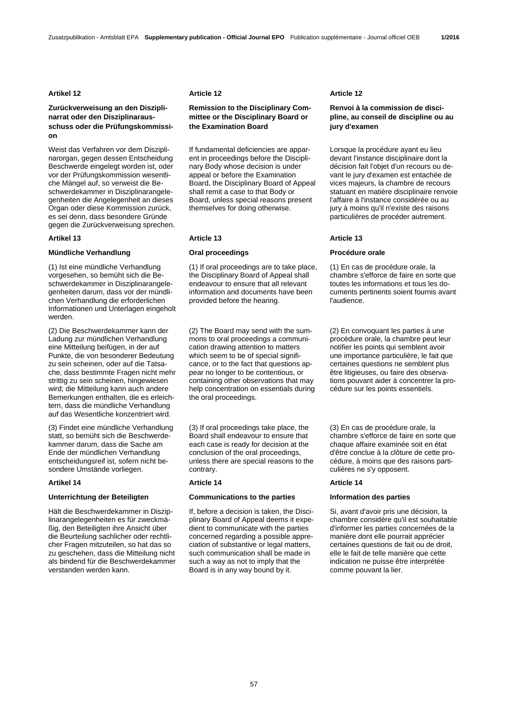# **Zurückverweisung an den Disziplinarrat oder den Disziplinarausschuss oder die Prüfungskommission**

Weist das Verfahren vor dem Disziplinarorgan, gegen dessen Entscheidung Beschwerde eingelegt worden ist, oder vor der Prüfungskommission wesentliche Mängel auf, so verweist die Beschwerdekammer in Disziplinarangelegenheiten die Angelegenheit an dieses Organ oder diese Kommission zurück, es sei denn, dass besondere Gründe gegen die Zurückverweisung sprechen.

# **Mündliche Verhandlung Oral proceedings Procédure orale**

(1) Ist eine mündliche Verhandlung vorgesehen, so bemüht sich die Beschwerdekammer in Disziplinarangelegenheiten darum, dass vor der mündlichen Verhandlung die erforderlichen Informationen und Unterlagen eingeholt werden.

(2) Die Beschwerdekammer kann der Ladung zur mündlichen Verhandlung eine Mitteilung beifügen, in der auf Punkte, die von besonderer Bedeutung zu sein scheinen, oder auf die Tatsache, dass bestimmte Fragen nicht mehr strittig zu sein scheinen, hingewiesen wird; die Mitteilung kann auch andere Bemerkungen enthalten, die es erleichtern, dass die mündliche Verhandlung auf das Wesentliche konzentriert wird.

(3) Findet eine mündliche Verhandlung statt, so bemüht sich die Beschwerdekammer darum, dass die Sache am Ende der mündlichen Verhandlung entscheidungsreif ist, sofern nicht besondere Umstände vorliegen.

### **Unterrichtung der Beteiligten Communications to the parties Information des parties**

Hält die Beschwerdekammer in Disziplinarangelegenheiten es für zweckmäßig, den Beteiligten ihre Ansicht über die Beurteilung sachlicher oder rechtlicher Fragen mitzuteilen, so hat das so zu geschehen, dass die Mitteilung nicht als bindend für die Beschwerdekammer verstanden werden kann.

# **Remission to the Disciplinary Committee or the Disciplinary Board or the Examination Board**

 If fundamental deficiencies are apparent in proceedings before the Disciplinary Body whose decision is under appeal or before the Examination Board, the Disciplinary Board of Appeal shall remit a case to that Body or Board, unless special reasons present themselves for doing otherwise.

 (1) If oral proceedings are to take place, the Disciplinary Board of Appeal shall endeavour to ensure that all relevant information and documents have been provided before the hearing.

 (2) The Board may send with the summons to oral proceedings a communication drawing attention to matters which seem to be of special significance, or to the fact that questions appear no longer to be contentious, or containing other observations that may help concentration on essentials during the oral proceedings.

 (3) If oral proceedings take place, the Board shall endeavour to ensure that each case is ready for decision at the conclusion of the oral proceedings, unless there are special reasons to the contrary.

### **Artikel 14 Article 14 Article 14**

 If, before a decision is taken, the Disciplinary Board of Appeal deems it expedient to communicate with the parties concerned regarding a possible appreciation of substantive or legal matters, such communication shall be made in such a way as not to imply that the Board is in any way bound by it.

### **Artikel 12 Article 12 Article 12**

# **Renvoi à la commission de discipline, au conseil de discipline ou au jury d'examen**

 Lorsque la procédure ayant eu lieu devant l'instance disciplinaire dont la décision fait l'objet d'un recours ou devant le jury d'examen est entachée de vices majeurs, la chambre de recours statuant en matière disciplinaire renvoie l'affaire à l'instance considérée ou au jury à moins qu'il n'existe des raisons particulières de procéder autrement.

### Artikel 13 **Article 13** Article 13 **Article 13** Article 13

 (1) En cas de procédure orale, la chambre s'efforce de faire en sorte que toutes les informations et tous les documents pertinents soient fournis avant l'audience.

 (2) En convoquant les parties à une procédure orale, la chambre peut leur notifier les points qui semblent avoir une importance particulière, le fait que certaines questions ne semblent plus être litigieuses, ou faire des observations pouvant aider à concentrer la procédure sur les points essentiels.

 (3) En cas de procédure orale, la chambre s'efforce de faire en sorte que chaque affaire examinée soit en état d'être conclue à la clôture de cette procédure, à moins que des raisons particulières ne s'y opposent.

 Si, avant d'avoir pris une décision, la chambre considère qu'il est souhaitable d'informer les parties concernées de la manière dont elle pourrait apprécier certaines questions de fait ou de droit, elle le fait de telle manière que cette indication ne puisse être interprétée comme pouvant la lier.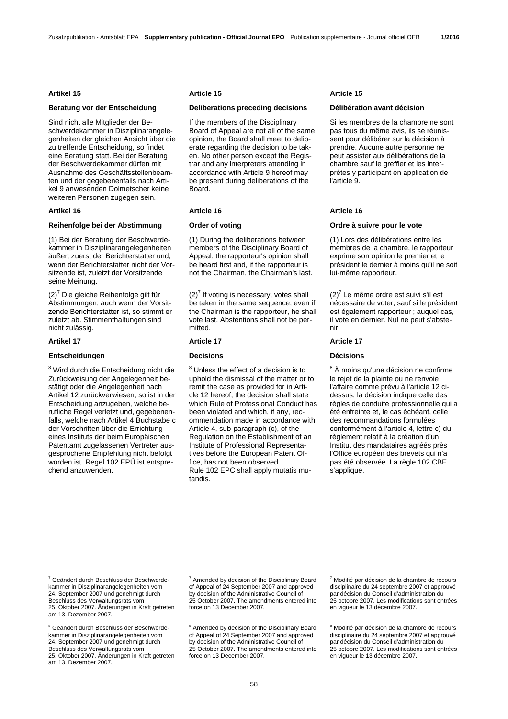Sind nicht alle Mitglieder der Beschwerdekammer in Disziplinarangelegenheiten der gleichen Ansicht über die zu treffende Entscheidung, so findet eine Beratung statt. Bei der Beratung der Beschwerdekammer dürfen mit Ausnahme des Geschäftsstellenbeamten und der gegebenenfalls nach Artikel 9 anwesenden Dolmetscher keine weiteren Personen zugegen sein.

### **Artikel 16 Article 16 Article 16**

# **Reihenfolge bei der Abstimmung Order of voting Ordre à suivre pour le vote**

(1) Bei der Beratung der Beschwerdekammer in Disziplinarangelegenheiten äußert zuerst der Berichterstatter und, wenn der Berichterstatter nicht der Vorsitzende ist, zuletzt der Vorsitzende seine Meinung.

 $(2)^7$  Die gleiche Reihenfolge gilt für Abstimmungen; auch wenn der Vorsitzende Berichterstatter ist, so stimmt er zuletzt ab. Stimmenthaltungen sind nicht zulässig.

### **Entscheidungen Decisions Décisions**

<sup>8</sup> Wird durch die Entscheidung nicht die Zurückweisung der Angelegenheit bestätigt oder die Angelegenheit nach Artikel 12 zurückverwiesen, so ist in der Entscheidung anzugeben, welche berufliche Regel verletzt und, gegebenenfalls, welche nach Artikel 4 Buchstabe c der Vorschriften über die Errichtung eines Instituts der beim Europäischen Patentamt zugelassenen Vertreter ausgesprochene Empfehlung nicht befolgt worden ist. Regel 102 EPÜ ist entsprechend anzuwenden.

### Artikel 15 **Article 15** Article 15 **Article 15** Article 15

# **Beratung vor der Entscheidung Deliberations preceding decisions Délibération avant décision**

 If the members of the Disciplinary Board of Appeal are not all of the same opinion, the Board shall meet to deliberate regarding the decision to be taken. No other person except the Registrar and any interpreters attending in accordance with Article 9 hereof may be present during deliberations of the Board.

 (1) During the deliberations between members of the Disciplinary Board of Appeal, the rapporteur's opinion shall be heard first and, if the rapporteur is not the Chairman, the Chairman's last.

 $(2)^7$  If voting is necessary, votes shall be taken in the same sequence; even if the Chairman is the rapporteur, he shall vote last. Abstentions shall not be permitted.

# **Article 17 Article 17 Article 17 Article 17 Article 17**

<sup>8</sup> Unless the effect of a decision is to uphold the dismissal of the matter or to remit the case as provided for in Article 12 hereof, the decision shall state which Rule of Professional Conduct has been violated and which, if any, recommendation made in accordance with Article 4, sub-paragraph (c), of the Regulation on the Establishment of an Institute of Professional Representatives before the European Patent Office, has not been observed. Rule 102 EPC shall apply mutatis mutandis.

 Si les membres de la chambre ne sont pas tous du même avis, ils se réunissent pour délibérer sur la décision à prendre. Aucune autre personne ne peut assister aux délibérations de la chambre sauf le greffier et les interprètes y participant en application de l'article 9.

 (1) Lors des délibérations entre les membres de la chambre, le rapporteur exprime son opinion le premier et le président le dernier à moins qu'il ne soit lui-même rapporteur.

 $(2)^7$  Le même ordre est suivi s'il est nécessaire de voter, sauf si le président est également rapporteur ; auquel cas, il vote en dernier. Nul ne peut s'abstenir.

<sup>8</sup> À moins qu'une décision ne confirme le rejet de la plainte ou ne renvoie l'affaire comme prévu à l'article 12 cidessus, la décision indique celle des règles de conduite professionnelle qui a été enfreinte et, le cas échéant, celle des recommandations formulées conformément à l'article 4, lettre c) du règlement relatif à la création d'un Institut des mandataires agréés près l'Office européen des brevets qui n'a pas été observée. La règle 102 CBE s'applique.

<sup>7</sup> Geändert durch Beschluss der Beschwerdekammer in Disziplinarangelegenheiten vom 24. September 2007 und genehmigt durch Beschluss des Verwaltungsrats vom 25. Oktober 2007. Änderungen in Kraft getreten am 13. Dezember 2007.

<sup>8</sup> Geändert durch Beschluss der Beschwerdekammer in Disziplinarangelegenheiten vom 24. September 2007 und genehmigt durch Beschluss des Verwaltungsrats vom 25. Oktober 2007. Änderungen in Kraft getreten am 13. Dezember 2007.

 $7$  Amended by decision of the Disciplinary Board of Appeal of 24 September 2007 and approved by decision of the Administrative Council of 25 October 2007. The amendments entered into force on 13 December 2007.

<sup>8</sup> Amended by decision of the Disciplinary Board of Appeal of 24 September 2007 and approved by decision of the Administrative Council of 25 October 2007. The amendments entered into force on 13 December 2007.

7 Modifié par décision de la chambre de recours disciplinaire du 24 septembre 2007 et approuvé par décision du Conseil d'administration du 25 octobre 2007. Les modifications sont entrées en vigueur le 13 décembre 2007.

8 Modifié par décision de la chambre de recours disciplinaire du 24 septembre 2007 et approuvé par décision du Conseil d'administration du 25 octobre 2007. Les modifications sont entrées en vigueur le 13 décembre 2007.